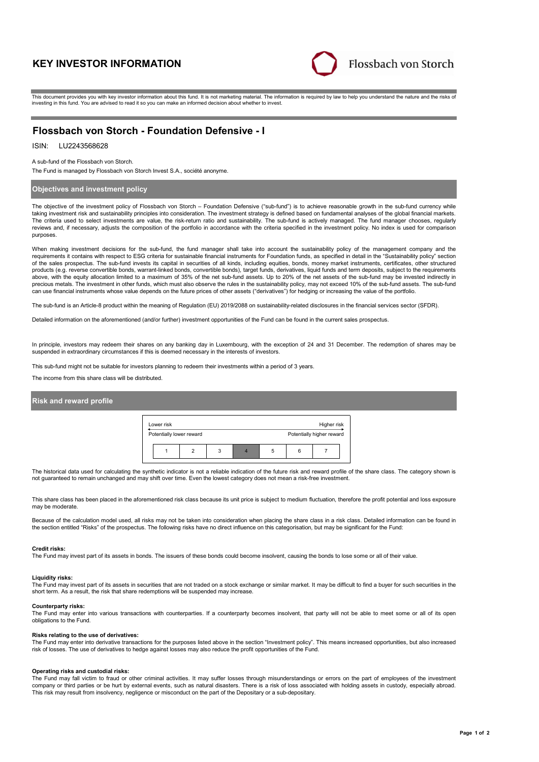# **KEY INVESTOR INFORMATION**



This document provides you with key investor information about this fund. It is not marketing material. The information is required by law to help you understand the nature and the risks of investing in this fund. You are advised to read it so you can make an informed decision about whether to invest.

# **Flossbach von Storch - Foundation Defensive - I**

## ISIN: LU2243568628

A sub-fund of the Flossbach von Storch.

The Fund is managed by Flossbach von Storch Invest S.A., société anonyme.

## **Objectives and investment policy**

The objective of the investment policy of Flossbach von Storch – Foundation Defensive ("sub-fund") is to achieve reasonable growth in the sub-fund currency while taking investment risk and sustainability principles into consideration. The investment strategy is defined based on fundamental analyses of the global financial markets. The criteria used to select investments are value, the risk-return ratio and sustainability. The sub-fund is actively managed. The fund manager chooses, regularly reviews and, if necessary, adjusts the composition of the portfolio in accordance with the criteria specified in the investment policy. No index is used for comparison purposes.

When making investment decisions for the sub-fund, the fund manager shall take into account the sustainability policy of the management company and the requirements it contains with respect to ESG criteria for sustainable financial instruments for Foundation funds, as specified in detail in the "Sustainability policy" section of the sales prospectus. The sub-fund invests its capital in securities of all kinds, including equities, bonds, money market instruments, certificates, other structured products (e.g. reverse convertible bonds, warrant-linked bonds, convertible bonds), target funds, derivatives, liquid funds and term deposits, subject to the requirements above, with the equity allocation limited to a maximum of 35% of the net sub-fund assets. Up to 20% of the net assets of the sub-fund may be invested indirectly in precious metals. The investment in other funds, which must also observe the rules in the sustainability policy, may not exceed 10% of the sub-fund assets. The sub-fund can use financial instruments whose value depends on the future prices of other assets ("derivatives") for hedging or increasing the value of the portfolio.

The sub-fund is an Article-8 product within the meaning of Regulation (EU) 2019/2088 on sustainability-related disclosures in the financial services sector (SFDR).

Detailed information on the aforementioned (and/or further) investment opportunities of the Fund can be found in the current sales prospectus.

In principle, investors may redeem their shares on any banking day in Luxembourg, with the exception of 24 and 31 December. The redemption of shares may be suspended in extraordinary circumstances if this is deemed necessary in the interests of investors.

This sub-fund might not be suitable for investors planning to redeem their investments within a period of 3 years.

The income from this share class will be distributed.

## **Risk and reward profile**

| Lower risk               |   |   |   |   | Higher risk               |  |
|--------------------------|---|---|---|---|---------------------------|--|
| Potentially lower reward |   |   |   |   | Potentially higher reward |  |
|                          | c | 3 | 5 | 6 |                           |  |

The historical data used for calculating the synthetic indicator is not a reliable indication of the future risk and reward profile of the share class. The category shown is not guaranteed to remain unchanged and may shift over time. Even the lowest category does not mean a risk-free investment.

This share class has been placed in the aforementioned risk class because its unit price is subject to medium fluctuation, therefore the profit potential and loss exposure may be moderate

Because of the calculation model used, all risks may not be taken into consideration when placing the share class in a risk class. Detailed information can be found in the section entitled "Risks" of the prospectus. The following risks have no direct influence on this categorisation, but may be significant for the Fund:

#### **Credit risks:**

The Fund may invest part of its assets in bonds. The issuers of these bonds could become insolvent, causing the bonds to lose some or all of their value.

### **Liquidity risks:**

The Fund may invest part of its assets in securities that are not traded on a stock exchange or similar market. It may be difficult to find a buyer for such securities in the short term. As a result, the risk that share redemptions will be suspended may increase.

#### **Counterparty risks:**

The Fund may enter into various transactions with counterparties. If a counterparty becomes insolvent, that party will not be able to meet some or all of its open obligations to the Fund.

## **Risks relating to the use of derivatives:**

The Fund may enter into derivative transactions for the purposes listed above in the section "Investment policy". This means increased opportunities, but also increased risk of losses. The use of derivatives to hedge against losses may also reduce the profit opportunities of the Fund.

### **Operating risks and custodial risks:**

The Fund may fall victim to fraud or other criminal activities. It may suffer losses through misunderstandings or errors on the part of employees of the investment company or third parties or be hurt by external events, such as natural disasters. There is a risk of loss associated with holding assets in custody, especially abroad. This risk may result from insolvency, negligence or misconduct on the part of the Depositary or a sub-depositary.